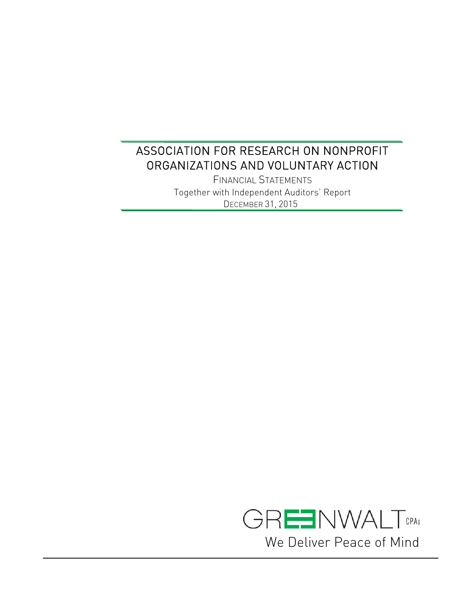FINANCIAL STATEMENTS Together with Independent Auditors' Report DECEMBER 31, 2015

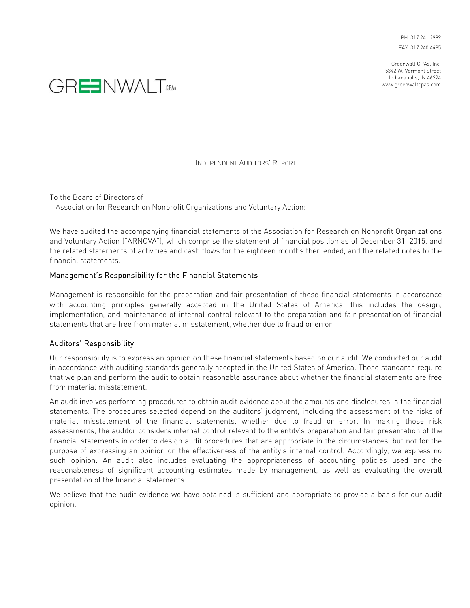PH 317 241 2999 FAX 317 240 4485

Greenwalt CPAs, Inc. 5342 W. Vermont Street Indianapolis, IN 46224 www.greenwaltcpas.com



INDEPENDENT AUDITORS' REPORT

To the Board of Directors of Association for Research on Nonprofit Organizations and Voluntary Action:

We have audited the accompanying financial statements of the Association for Research on Nonprofit Organizations and Voluntary Action ("ARNOVA"), which comprise the statement of financial position as of December 31, 2015, and the related statements of activities and cash flows for the eighteen months then ended, and the related notes to the financial statements.

### Management's Responsibility for the Financial Statements

Management is responsible for the preparation and fair presentation of these financial statements in accordance with accounting principles generally accepted in the United States of America; this includes the design, implementation, and maintenance of internal control relevant to the preparation and fair presentation of financial statements that are free from material misstatement, whether due to fraud or error.

#### Auditors' Responsibility

Our responsibility is to express an opinion on these financial statements based on our audit. We conducted our audit in accordance with auditing standards generally accepted in the United States of America. Those standards require that we plan and perform the audit to obtain reasonable assurance about whether the financial statements are free from material misstatement.

An audit involves performing procedures to obtain audit evidence about the amounts and disclosures in the financial statements. The procedures selected depend on the auditors' judgment, including the assessment of the risks of material misstatement of the financial statements, whether due to fraud or error. In making those risk assessments, the auditor considers internal control relevant to the entity's preparation and fair presentation of the financial statements in order to design audit procedures that are appropriate in the circumstances, but not for the purpose of expressing an opinion on the effectiveness of the entity's internal control. Accordingly, we express no such opinion. An audit also includes evaluating the appropriateness of accounting policies used and the reasonableness of significant accounting estimates made by management, as well as evaluating the overall presentation of the financial statements.

We believe that the audit evidence we have obtained is sufficient and appropriate to provide a basis for our audit opinion.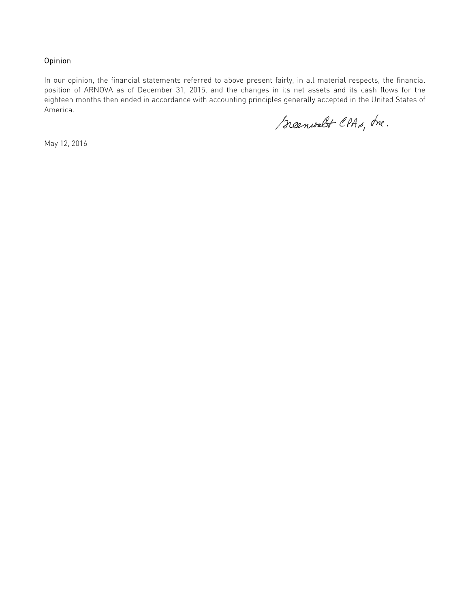### Opinion

In our opinion, the financial statements referred to above present fairly, in all material respects, the financial position of ARNOVA as of December 31, 2015, and the changes in its net assets and its cash flows for the eighteen months then ended in accordance with accounting principles generally accepted in the United States of America.

Scenwalt CPAs, Ine.

May 12, 2016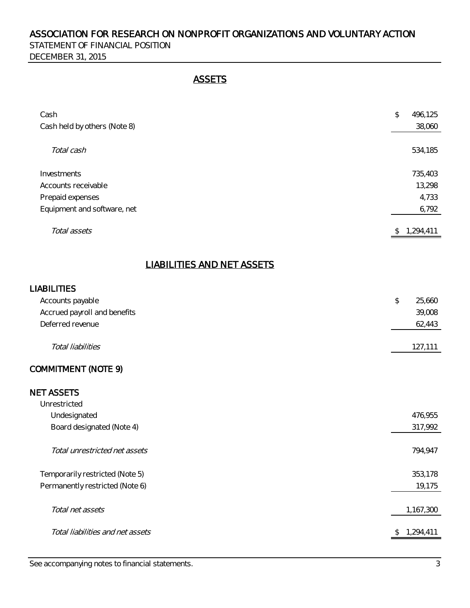STATEMENT OF FINANCIAL POSITION DECEMBER 31, 2015

# **ASSETS**

| Cash<br>Cash held by others (Note 8) | \$<br>496,125<br>38,060 |
|--------------------------------------|-------------------------|
| Total cash                           | 534,185                 |
| Investments                          | 735,403                 |
| Accounts receivable                  | 13,298                  |
| Prepaid expenses                     | 4,733                   |
| Equipment and software, net          | 6,792                   |
| Total assets                         | \$<br>1,294,411         |

# LIABILITIES AND NET ASSETS

### LIABILITIES

| Accounts payable                 | $\mathcal{L}$ | 25,660 |
|----------------------------------|---------------|--------|
| Accrued payroll and benefits     |               | 39,008 |
| Deferred revenue                 |               | 62,443 |
| Total liabilities                | 127,111       |        |
| COMMITMENT (NOTE 9)              |               |        |
| <b>NET ASSETS</b>                |               |        |
| Unrestricted                     |               |        |
| Undesignated                     | 476,955       |        |
| Board designated (Note 4)        | 317,992       |        |
| Total unrestricted net assets    | 794,947       |        |
| Temporarily restricted (Note 5)  | 353,178       |        |
| Permanently restricted (Note 6)  |               | 19,175 |
| Total net assets                 | 1,167,300     |        |
| Total liabilities and net assets | 1,294,411     |        |
|                                  |               |        |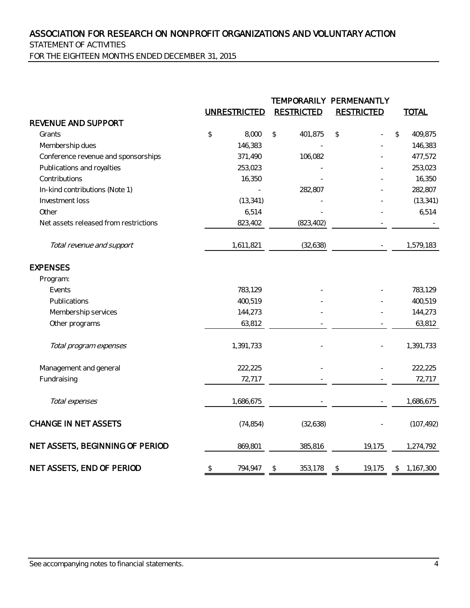STATEMENT OF ACTIVITIES

FOR THE EIGHTEEN MONTHS ENDED DECEMBER 31, 2015

|                                       |                | <b>UNRESTRICTED</b> | <b>RESTRICTED</b> | TEMPORARILY PERMENANTLY<br><b>RESTRICTED</b> | <b>TOTAL</b>    |
|---------------------------------------|----------------|---------------------|-------------------|----------------------------------------------|-----------------|
| REVENUE AND SUPPORT                   |                |                     |                   |                                              |                 |
| Grants                                | $\updownarrow$ | 8,000               | 401,875<br>\$     | $\updownarrow$                               | \$<br>409,875   |
| Membership dues                       |                | 146,383             |                   |                                              | 146,383         |
| Conference revenue and sponsorships   |                | 371,490             | 106,082           |                                              | 477,572         |
| Publications and royalties            |                | 253,023             |                   |                                              | 253,023         |
| Contributions                         |                | 16,350              |                   |                                              | 16,350          |
| In-kind contributions (Note 1)        |                |                     | 282,807           |                                              | 282,807         |
| Investment loss                       |                | (13, 341)           |                   |                                              | (13, 341)       |
| Other                                 |                | 6,514               |                   |                                              | 6,514           |
| Net assets released from restrictions |                | 823,402             | (823, 402)        |                                              |                 |
| Total revenue and support             |                | 1,611,821           | (32, 638)         |                                              | 1,579,183       |
| <b>EXPENSES</b>                       |                |                     |                   |                                              |                 |
| Program:                              |                |                     |                   |                                              |                 |
| Events                                |                | 783,129             |                   |                                              | 783,129         |
| Publications                          |                | 400,519             |                   |                                              | 400,519         |
| Membership services                   |                | 144,273             |                   |                                              | 144,273         |
| Other programs                        |                | 63,812              |                   |                                              | 63,812          |
| Total program expenses                |                | 1,391,733           |                   |                                              | 1,391,733       |
| Management and general                |                | 222,225             |                   |                                              | 222,225         |
| Fundraising                           |                | 72,717              |                   |                                              | 72,717          |
| Total expenses                        |                | 1,686,675           |                   |                                              | 1,686,675       |
| <b>CHANGE IN NET ASSETS</b>           |                | (74, 854)           | (32, 638)         |                                              | (107, 492)      |
| NET ASSETS, BEGINNING OF PERIOD       |                | 869,801             | 385,816           | 19,175                                       | 1,274,792       |
| NET ASSETS, END OF PERIOD             | $\updownarrow$ | 794,947             | 353,178<br>\$     | 19,175<br>\$                                 | \$<br>1,167,300 |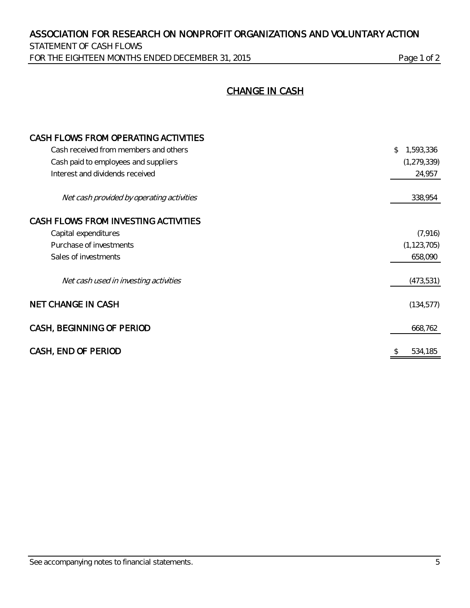STATEMENT OF CASH FLOWS FOR THE EIGHTEEN MONTHS ENDED DECEMBER 31, 2015 Page 1 of 2

# CHANGE IN CASH

| CASH FLOWS FROM OPERATING ACTIVITIES      |                 |
|-------------------------------------------|-----------------|
| Cash received from members and others     | \$<br>1,593,336 |
| Cash paid to employees and suppliers      | (1, 279, 339)   |
| Interest and dividends received           | 24,957          |
| Net cash provided by operating activities | 338,954         |
| CASH FLOWS FROM INVESTING ACTIVITIES      |                 |
| Capital expenditures                      | (7, 916)        |
| Purchase of investments                   | (1, 123, 705)   |
| Sales of investments                      | 658,090         |
| Net cash used in investing activities     | (473,531)       |
| <b>NET CHANGE IN CASH</b>                 | (134, 577)      |
| CASH, BEGINNING OF PERIOD                 | 668,762         |
| CASH, END OF PERIOD                       | \$<br>534,185   |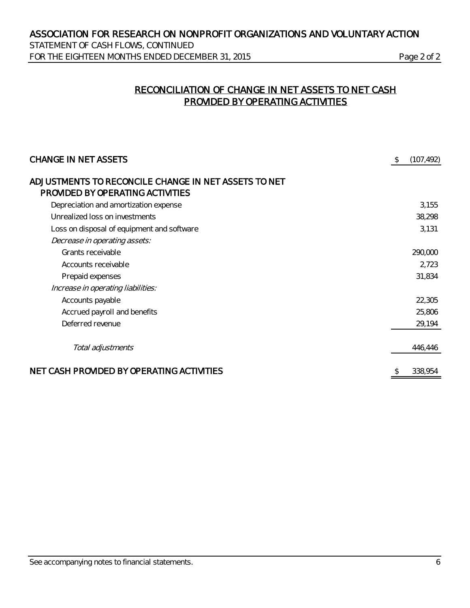STATEMENT OF CASH FLOWS, CONTINUED FOR THE EIGHTEEN MONTHS ENDED DECEMBER 31, 2015 Page 2 of 2

# RECONCILIATION OF CHANGE IN NET ASSETS TO NET CASH PROVIDED BY OPERATING ACTIVITIES

| <b>CHANGE IN NET ASSETS</b>                                                              | \$<br>(107, 492) |
|------------------------------------------------------------------------------------------|------------------|
| ADJUSTMENTS TO RECONCILE CHANGE IN NET ASSETS TO NET<br>PROVIDED BY OPERATING ACTIVITIES |                  |
| Depreciation and amortization expense                                                    | 3,155            |
| Unrealized loss on investments                                                           | 38,298           |
| Loss on disposal of equipment and software                                               | 3,131            |
| Decrease in operating assets:                                                            |                  |
| Grants receivable                                                                        | 290,000          |
| Accounts receivable                                                                      | 2,723            |
| Prepaid expenses                                                                         | 31,834           |
| Increase in operating liabilities:                                                       |                  |
| Accounts payable                                                                         | 22,305           |
| Accrued payroll and benefits                                                             | 25,806           |
| Deferred revenue                                                                         | 29,194           |
| Total adjustments                                                                        | 446,446          |
| NET CASH PROVIDED BY OPERATING ACTIVITIES                                                | 338,954          |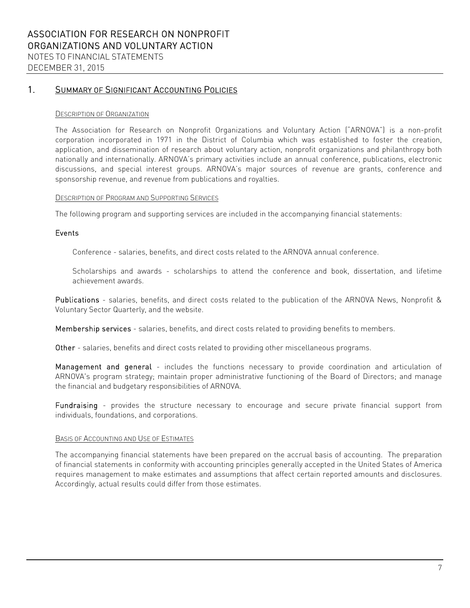### 1. SUMMARY OF SIGNIFICANT ACCOUNTING POLICIES

#### DESCRIPTION OF ORGANIZATION

The Association for Research on Nonprofit Organizations and Voluntary Action ("ARNOVA") is a non-profit corporation incorporated in 1971 in the District of Columbia which was established to foster the creation, application, and dissemination of research about voluntary action, nonprofit organizations and philanthropy both nationally and internationally. ARNOVA's primary activities include an annual conference, publications, electronic discussions, and special interest groups. ARNOVA's major sources of revenue are grants, conference and sponsorship revenue, and revenue from publications and royalties.

#### DESCRIPTION OF PROGRAM AND SUPPORTING SERVICES

The following program and supporting services are included in the accompanying financial statements:

### Events

Conference - salaries, benefits, and direct costs related to the ARNOVA annual conference.

Scholarships and awards - scholarships to attend the conference and book, dissertation, and lifetime achievement awards.

Publications - salaries, benefits, and direct costs related to the publication of the ARNOVA News, Nonprofit & Voluntary Sector Quarterly, and the website.

Membership services - salaries, benefits, and direct costs related to providing benefits to members.

Other - salaries, benefits and direct costs related to providing other miscellaneous programs.

Management and general - includes the functions necessary to provide coordination and articulation of ARNOVA's program strategy; maintain proper administrative functioning of the Board of Directors; and manage the financial and budgetary responsibilities of ARNOVA.

Fundraising - provides the structure necessary to encourage and secure private financial support from individuals, foundations, and corporations.

### BASIS OF ACCOUNTING AND USE OF ESTIMATES

The accompanying financial statements have been prepared on the accrual basis of accounting. The preparation of financial statements in conformity with accounting principles generally accepted in the United States of America requires management to make estimates and assumptions that affect certain reported amounts and disclosures. Accordingly, actual results could differ from those estimates.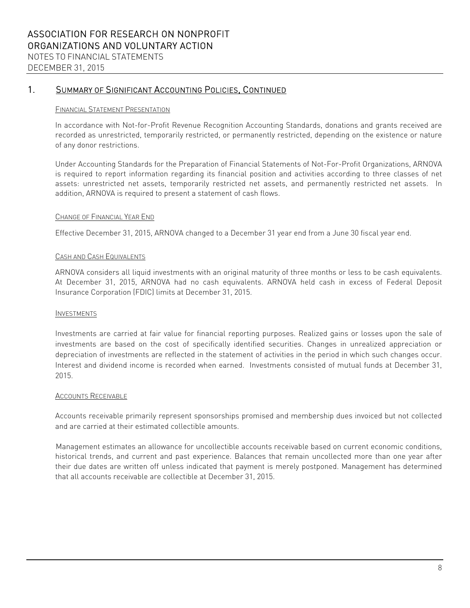### 1. SUMMARY OF SIGNIFICANT ACCOUNTING POLICIES, CONTINUED

#### FINANCIAL STATEMENT PRESENTATION

In accordance with Not-for-Profit Revenue Recognition Accounting Standards, donations and grants received are recorded as unrestricted, temporarily restricted, or permanently restricted, depending on the existence or nature of any donor restrictions.

Under Accounting Standards for the Preparation of Financial Statements of Not-For-Profit Organizations, ARNOVA is required to report information regarding its financial position and activities according to three classes of net assets: unrestricted net assets, temporarily restricted net assets, and permanently restricted net assets. In addition, ARNOVA is required to present a statement of cash flows.

### CHANGE OF FINANCIAL YEAR END

Effective December 31, 2015, ARNOVA changed to a December 31 year end from a June 30 fiscal year end.

### CASH AND CASH EQUIVALENTS

ARNOVA considers all liquid investments with an original maturity of three months or less to be cash equivalents. At December 31, 2015, ARNOVA had no cash equivalents. ARNOVA held cash in excess of Federal Deposit Insurance Corporation (FDIC) limits at December 31, 2015.

#### INVESTMENTS

Investments are carried at fair value for financial reporting purposes. Realized gains or losses upon the sale of investments are based on the cost of specifically identified securities. Changes in unrealized appreciation or depreciation of investments are reflected in the statement of activities in the period in which such changes occur. Interest and dividend income is recorded when earned. Investments consisted of mutual funds at December 31, 2015.

### **ACCOUNTS RECEIVABLE**

Accounts receivable primarily represent sponsorships promised and membership dues invoiced but not collected and are carried at their estimated collectible amounts.

Management estimates an allowance for uncollectible accounts receivable based on current economic conditions, historical trends, and current and past experience. Balances that remain uncollected more than one year after their due dates are written off unless indicated that payment is merely postponed. Management has determined that all accounts receivable are collectible at December 31, 2015.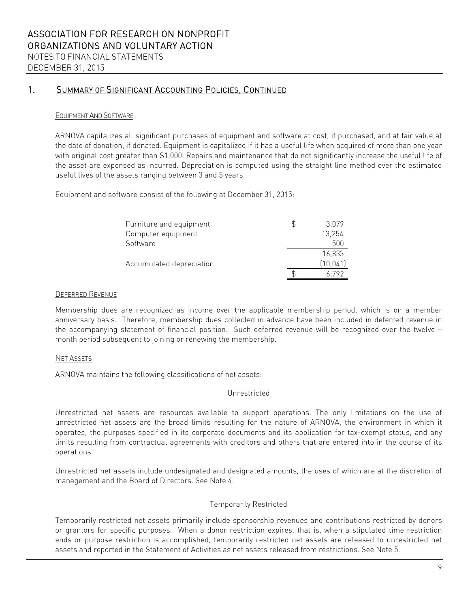### 1. SUMMARY OF SIGNIFICANT ACCOUNTING POLICIES, CONTINUED

### EQUIPMENT AND SOFTWARE

ARNOVA capitalizes all significant purchases of equipment and software at cost, if purchased, and at fair value at the date of donation, if donated. Equipment is capitalized if it has a useful life when acquired of more than one year with original cost greater than \$1,000. Repairs and maintenance that do not significantly increase the useful life of the asset are expensed as incurred. Depreciation is computed using the straight line method over the estimated useful lives of the assets ranging between 3 and 5 years.

Equipment and software consist of the following at December 31, 2015:

| Furniture and equipment  | 3,079     |
|--------------------------|-----------|
| Computer equipment       | 13,254    |
| Software                 | 500       |
|                          | 16,833    |
| Accumulated depreciation | (10, 041) |
|                          | 6.792     |

### DEFERRED REVENUE

Membership dues are recognized as income over the applicable membership period, which is on a member anniversary basis. Therefore, membership dues collected in advance have been included in deferred revenue in the accompanying statement of financial position. Such deferred revenue will be recognized over the twelve – month period subsequent to joining or renewing the membership.

### NET ASSETS

ARNOVA maintains the following classifications of net assets:

#### Unrestricted

Unrestricted net assets are resources available to support operations. The only limitations on the use of unrestricted net assets are the broad limits resulting for the nature of ARNOVA, the environment in which it operates, the purposes specified in its corporate documents and its application for tax-exempt status, and any limits resulting from contractual agreements with creditors and others that are entered into in the course of its operations.

Unrestricted net assets include undesignated and designated amounts, the uses of which are at the discretion of management and the Board of Directors. See Note 4.

### Temporarily Restricted

Temporarily restricted net assets primarily include sponsorship revenues and contributions restricted by donors or grantors for specific purposes. When a donor restriction expires, that is, when a stipulated time restriction ends or purpose restriction is accomplished, temporarily restricted net assets are released to unrestricted net assets and reported in the Statement of Activities as net assets released from restrictions. See Note 5.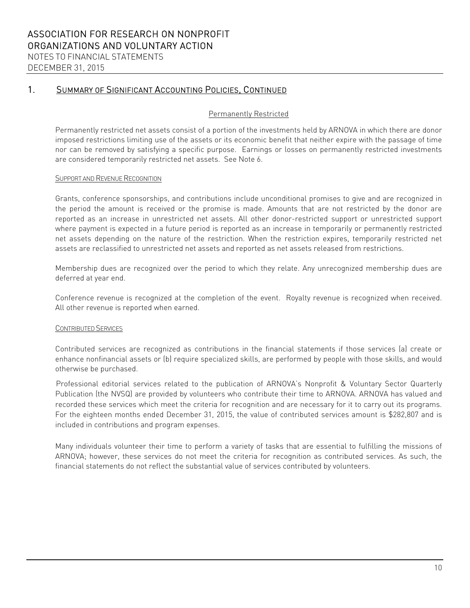DECEMBER 31, 2015

### 1. SUMMARY OF SIGNIFICANT ACCOUNTING POLICIES, CONTINUED

### Permanently Restricted

Permanently restricted net assets consist of a portion of the investments held by ARNOVA in which there are donor imposed restrictions limiting use of the assets or its economic benefit that neither expire with the passage of time nor can be removed by satisfying a specific purpose. Earnings or losses on permanently restricted investments are considered temporarily restricted net assets. See Note 6.

### SUPPORT AND REVENUE RECOGNITION

Grants, conference sponsorships, and contributions include unconditional promises to give and are recognized in the period the amount is received or the promise is made. Amounts that are not restricted by the donor are reported as an increase in unrestricted net assets. All other donor-restricted support or unrestricted support where payment is expected in a future period is reported as an increase in temporarily or permanently restricted net assets depending on the nature of the restriction. When the restriction expires, temporarily restricted net assets are reclassified to unrestricted net assets and reported as net assets released from restrictions.

Membership dues are recognized over the period to which they relate. Any unrecognized membership dues are deferred at year end.

Conference revenue is recognized at the completion of the event. Royalty revenue is recognized when received. All other revenue is reported when earned.

#### CONTRIBUTED SERVICES

Contributed services are recognized as contributions in the financial statements if those services (a) create or enhance nonfinancial assets or (b) require specialized skills, are performed by people with those skills, and would otherwise be purchased.

Professional editorial services related to the publication of ARNOVA's Nonprofit & Voluntary Sector Quarterly Publication (the NVSQ) are provided by volunteers who contribute their time to ARNOVA. ARNOVA has valued and recorded these services which meet the criteria for recognition and are necessary for it to carry out its programs. For the eighteen months ended December 31, 2015, the value of contributed services amount is \$282,807 and is included in contributions and program expenses.

Many individuals volunteer their time to perform a variety of tasks that are essential to fulfilling the missions of ARNOVA; however, these services do not meet the criteria for recognition as contributed services. As such, the financial statements do not reflect the substantial value of services contributed by volunteers.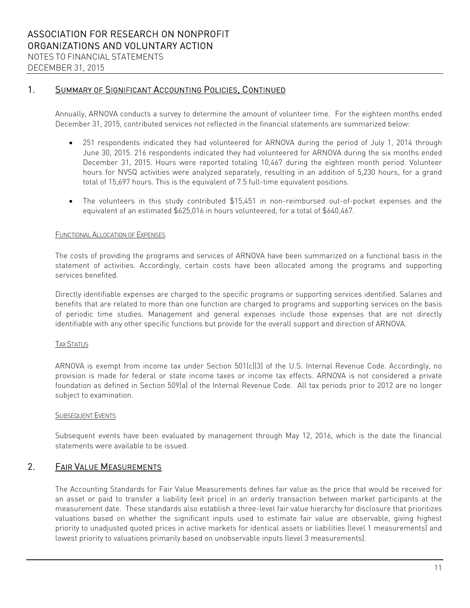DECEMBER 31, 2015

### 1. SUMMARY OF SIGNIFICANT ACCOUNTING POLICIES, CONTINUED

Annually, ARNOVA conducts a survey to determine the amount of volunteer time. For the eighteen months ended December 31, 2015, contributed services not reflected in the financial statements are summarized below:

- 251 respondents indicated they had volunteered for ARNOVA during the period of July 1, 2014 through June 30, 2015. 216 respondents indicated they had volunteered for ARNOVA during the six months ended December 31, 2015. Hours were reported totaling 10,467 during the eighteen month period. Volunteer hours for NVSQ activities were analyzed separately, resulting in an addition of 5,230 hours, for a grand total of 15,697 hours. This is the equivalent of 7.5 full-time equivalent positions.
- The volunteers in this study contributed \$15,451 in non-reimbursed out-of-pocket expenses and the equivalent of an estimated \$625,016 in hours volunteered, for a total of \$640,467.

### FUNCTIONAL ALLOCATION OF EXPENSES

The costs of providing the programs and services of ARNOVA have been summarized on a functional basis in the statement of activities. Accordingly, certain costs have been allocated among the programs and supporting services benefited.

Directly identifiable expenses are charged to the specific programs or supporting services identified. Salaries and benefits that are related to more than one function are charged to programs and supporting services on the basis of periodic time studies. Management and general expenses include those expenses that are not directly identifiable with any other specific functions but provide for the overall support and direction of ARNOVA.

### TAX STATUS

ARNOVA is exempt from income tax under Section 501(c)(3) of the U.S. Internal Revenue Code. Accordingly, no provision is made for federal or state income taxes or income tax effects. ARNOVA is not considered a private foundation as defined in Section 509(a) of the Internal Revenue Code. All tax periods prior to 2012 are no longer subject to examination.

#### SUBSEQUENT EVENTS

Subsequent events have been evaluated by management through May 12, 2016, which is the date the financial statements were available to be issued.

### 2. FAIR VALUE MEASUREMENTS

The Accounting Standards for Fair Value Measurements defines fair value as the price that would be received for an asset or paid to transfer a liability (exit price) in an orderly transaction between market participants at the measurement date. These standards also establish a three-level fair value hierarchy for disclosure that prioritizes valuations based on whether the significant inputs used to estimate fair value are observable, giving highest priority to unadjusted quoted prices in active markets for identical assets or liabilities (level 1 measurements) and lowest priority to valuations primarily based on unobservable inputs (level 3 measurements).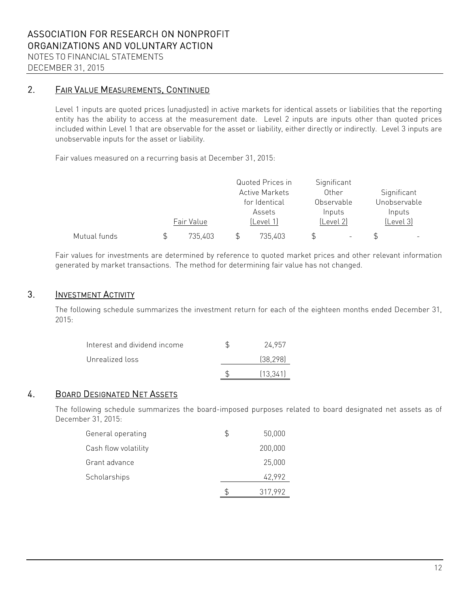### 2. FAIR VALUE MEASUREMENTS, CONTINUED

Level 1 inputs are quoted prices (unadjusted) in active markets for identical assets or liabilities that the reporting entity has the ability to access at the measurement date. Level 2 inputs are inputs other than quoted prices included within Level 1 that are observable for the asset or liability, either directly or indirectly. Level 3 inputs are unobservable inputs for the asset or liability.

Fair values measured on a recurring basis at December 31, 2015:

|              |            | Quoted Prices in      | Significant |              |
|--------------|------------|-----------------------|-------------|--------------|
|              |            | <b>Active Markets</b> | Other       | Significant  |
|              |            | for Identical         | Observable  | Unobservable |
|              |            | Assets                | Inputs      | Inputs       |
|              | Fair Value | lLevel 1)             | lLevel 21   | (Level 3)    |
| Mutual funds | 735,403    | 735,403               |             |              |

Fair values for investments are determined by reference to quoted market prices and other relevant information generated by market transactions. The method for determining fair value has not changed.

### 3. INVESTMENT ACTIVITY

The following schedule summarizes the investment return for each of the eighteen months ended December 31, 2015:

| Interest and dividend income | 24.957    |
|------------------------------|-----------|
| Unrealized loss              | (38, 298) |
|                              | (13.341)  |

# 4. BOARD DESIGNATED NET ASSETS

The following schedule summarizes the board-imposed purposes related to board designated net assets as of December 31, 2015:

| General operating    | S | 50,000  |
|----------------------|---|---------|
| Cash flow volatility |   | 200,000 |
| Grant advance        |   | 25,000  |
| Scholarships         |   | 42,992  |
|                      |   | 317,992 |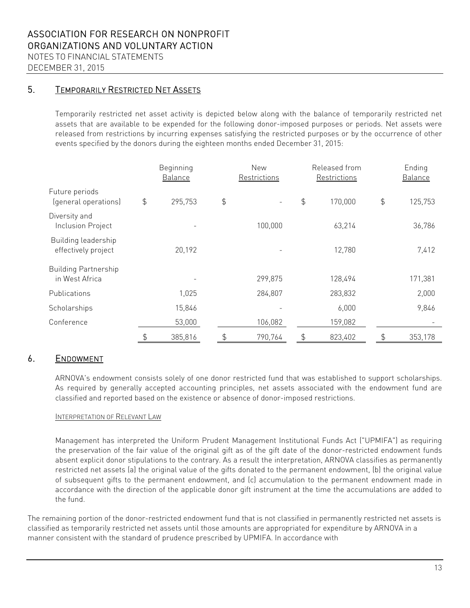# 5. TEMPORARILY RESTRICTED NET ASSETS

Temporarily restricted net asset activity is depicted below along with the balance of temporarily restricted net assets that are available to be expended for the following donor-imposed purposes or periods. Net assets were released from restrictions by incurring expenses satisfying the restricted purposes or by the occurrence of other events specified by the donors during the eighteen months ended December 31, 2015:

|                                               |               | Beginning<br><b>Balance</b> | New<br>Restrictions |                          |               |         | Released from<br>Restrictions |         |  | Ending<br>Balance |  |
|-----------------------------------------------|---------------|-----------------------------|---------------------|--------------------------|---------------|---------|-------------------------------|---------|--|-------------------|--|
| Future periods<br>(general operations)        | $\frac{4}{5}$ | 295,753                     | \$                  | $\overline{\phantom{a}}$ | $\frac{4}{5}$ | 170,000 | $\updownarrow$                | 125,753 |  |                   |  |
| Diversity and<br><b>Inclusion Project</b>     |               |                             |                     | 100,000                  |               | 63,214  |                               | 36,786  |  |                   |  |
| Building leadership<br>effectively project    |               | 20,192                      |                     |                          |               | 12,780  |                               | 7,412   |  |                   |  |
| <b>Building Partnership</b><br>in West Africa |               |                             |                     | 299,875                  |               | 128,494 |                               | 171,381 |  |                   |  |
| Publications                                  |               | 1,025                       |                     | 284,807                  |               | 283,832 |                               | 2,000   |  |                   |  |
| Scholarships                                  |               | 15,846                      |                     |                          |               | 6,000   |                               | 9,846   |  |                   |  |
| Conference                                    |               | 53,000                      |                     | 106,082                  |               | 159,082 |                               |         |  |                   |  |
|                                               | \$            | 385,816                     | \$                  | 790,764                  | \$            | 823,402 | \$                            | 353,178 |  |                   |  |

### 6. ENDOWMENT

ARNOVA's endowment consists solely of one donor restricted fund that was established to support scholarships. As required by generally accepted accounting principles, net assets associated with the endowment fund are classified and reported based on the existence or absence of donor-imposed restrictions.

### INTERPRETATION OF RELEVANT LAW

Management has interpreted the Uniform Prudent Management Institutional Funds Act ("UPMIFA") as requiring the preservation of the fair value of the original gift as of the gift date of the donor-restricted endowment funds absent explicit donor stipulations to the contrary. As a result the interpretation, ARNOVA classifies as permanently restricted net assets (a) the original value of the gifts donated to the permanent endowment, (b) the original value of subsequent gifts to the permanent endowment, and (c) accumulation to the permanent endowment made in accordance with the direction of the applicable donor gift instrument at the time the accumulations are added to the fund.

The remaining portion of the donor-restricted endowment fund that is not classified in permanently restricted net assets is classified as temporarily restricted net assets until those amounts are appropriated for expenditure by ARNOVA in a manner consistent with the standard of prudence prescribed by UPMIFA. In accordance with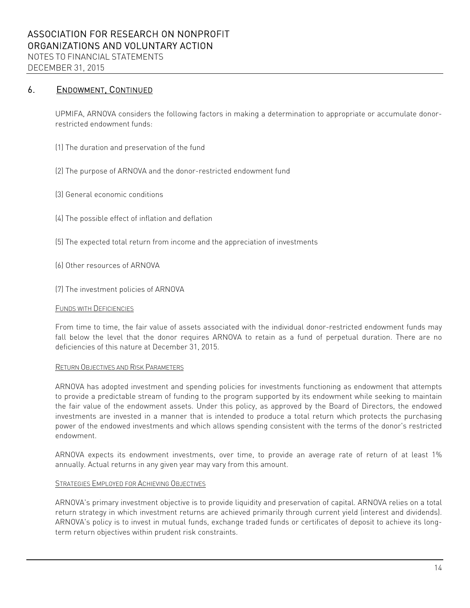### 6. ENDOWMENT, CONTINUED

UPMIFA, ARNOVA considers the following factors in making a determination to appropriate or accumulate donorrestricted endowment funds:

- (1) The duration and preservation of the fund
- (2) The purpose of ARNOVA and the donor-restricted endowment fund
- (3) General economic conditions
- (4) The possible effect of inflation and deflation
- (5) The expected total return from income and the appreciation of investments
- (6) Other resources of ARNOVA
- (7) The investment policies of ARNOVA

### FUNDS WITH DEFICIENCIES

From time to time, the fair value of assets associated with the individual donor-restricted endowment funds may fall below the level that the donor requires ARNOVA to retain as a fund of perpetual duration. There are no deficiencies of this nature at December 31, 2015.

### RETURN OBJECTIVES AND RISK PARAMETERS

ARNOVA has adopted investment and spending policies for investments functioning as endowment that attempts to provide a predictable stream of funding to the program supported by its endowment while seeking to maintain the fair value of the endowment assets. Under this policy, as approved by the Board of Directors, the endowed investments are invested in a manner that is intended to produce a total return which protects the purchasing power of the endowed investments and which allows spending consistent with the terms of the donor's restricted endowment.

ARNOVA expects its endowment investments, over time, to provide an average rate of return of at least 1% annually. Actual returns in any given year may vary from this amount.

### STRATEGIES EMPLOYED FOR ACHIEVING OBJECTIVES

ARNOVA's primary investment objective is to provide liquidity and preservation of capital. ARNOVA relies on a total return strategy in which investment returns are achieved primarily through current yield (interest and dividends). ARNOVA's policy is to invest in mutual funds, exchange traded funds or certificates of deposit to achieve its longterm return objectives within prudent risk constraints.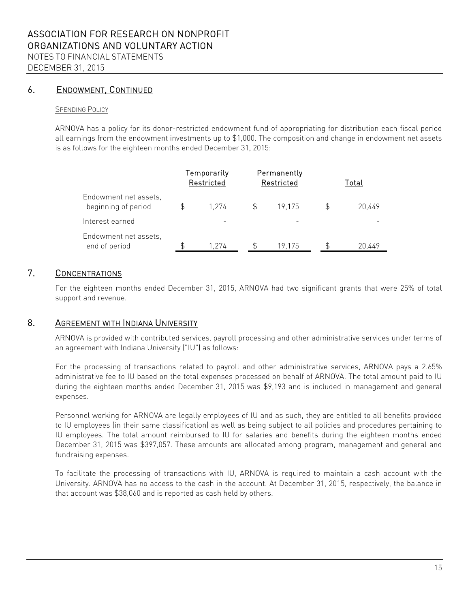### 6. ENDOWMENT, CONTINUED

### SPENDING POLICY

ARNOVA has a policy for its donor-restricted endowment fund of appropriating for distribution each fiscal period all earnings from the endowment investments up to \$1,000. The composition and change in endowment net assets is as follows for the eighteen months ended December 31, 2015:

|                                              | Temporarily<br>Restricted | Permanently<br>Restricted | Total  |
|----------------------------------------------|---------------------------|---------------------------|--------|
| Endowment net assets,<br>beginning of period | 1.274                     | 19.175                    | 20.449 |
| Interest earned                              |                           |                           |        |
| Endowment net assets,<br>end of period       | 1.274                     | 19.175                    | 20.449 |

### 7. CONCENTRATIONS

For the eighteen months ended December 31, 2015, ARNOVA had two significant grants that were 25% of total support and revenue.

### 8. AGREEMENT WITH INDIANA UNIVERSITY

ARNOVA is provided with contributed services, payroll processing and other administrative services under terms of an agreement with Indiana University ("IU") as follows:

For the processing of transactions related to payroll and other administrative services, ARNOVA pays a 2.65% administrative fee to IU based on the total expenses processed on behalf of ARNOVA. The total amount paid to IU during the eighteen months ended December 31, 2015 was \$9,193 and is included in management and general expenses.

Personnel working for ARNOVA are legally employees of lU and as such, they are entitled to all benefits provided to IU employees (in their same classification) as well as being subject to all policies and procedures pertaining to IU employees. The total amount reimbursed to IU for salaries and benefits during the eighteen months ended December 31, 2015 was \$397,057. These amounts are allocated among program, management and general and fundraising expenses.

To facilitate the processing of transactions with IU, ARNOVA is required to maintain a cash account with the University. ARNOVA has no access to the cash in the account. At December 31, 2015, respectively, the balance in that account was \$38,060 and is reported as cash held by others.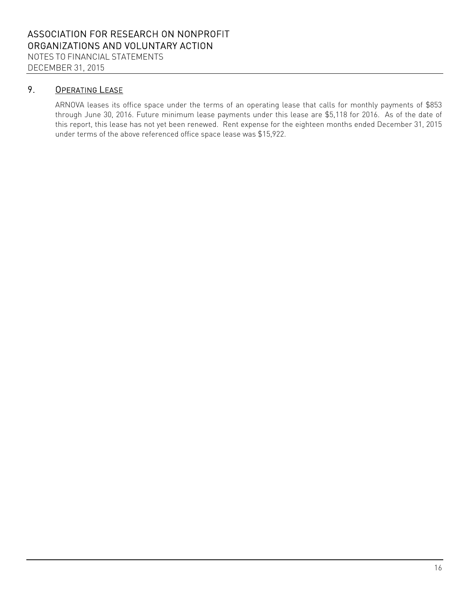# 9. OPERATING LEASE

ARNOVA leases its office space under the terms of an operating lease that calls for monthly payments of \$853 through June 30, 2016. Future minimum lease payments under this lease are \$5,118 for 2016. As of the date of this report, this lease has not yet been renewed. Rent expense for the eighteen months ended December 31, 2015 under terms of the above referenced office space lease was \$15,922.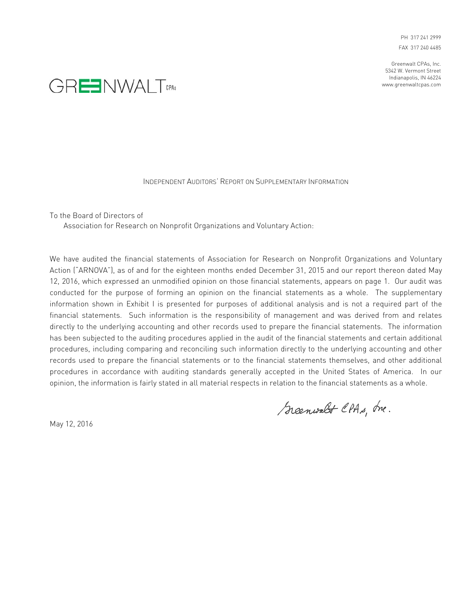PH 317 241 2999 FAX 317 240 4485

Greenwalt CPAs, Inc. 5342 W. Vermont Street Indianapolis, IN 46224 www.greenwaltcpas.com



#### INDEPENDENT AUDITORS' REPORT ON SUPPLEMENTARY INFORMATION

To the Board of Directors of

Association for Research on Nonprofit Organizations and Voluntary Action:

We have audited the financial statements of Association for Research on Nonprofit Organizations and Voluntary Action ("ARNOVA"), as of and for the eighteen months ended December 31, 2015 and our report thereon dated May 12, 2016, which expressed an unmodified opinion on those financial statements, appears on page 1. Our audit was conducted for the purpose of forming an opinion on the financial statements as a whole. The supplementary information shown in Exhibit I is presented for purposes of additional analysis and is not a required part of the financial statements. Such information is the responsibility of management and was derived from and relates directly to the underlying accounting and other records used to prepare the financial statements. The information has been subjected to the auditing procedures applied in the audit of the financial statements and certain additional procedures, including comparing and reconciling such information directly to the underlying accounting and other records used to prepare the financial statements or to the financial statements themselves, and other additional procedures in accordance with auditing standards generally accepted in the United States of America. In our opinion, the information is fairly stated in all material respects in relation to the financial statements as a whole.

Scenwalt CPAs, me.

May 12, 2016